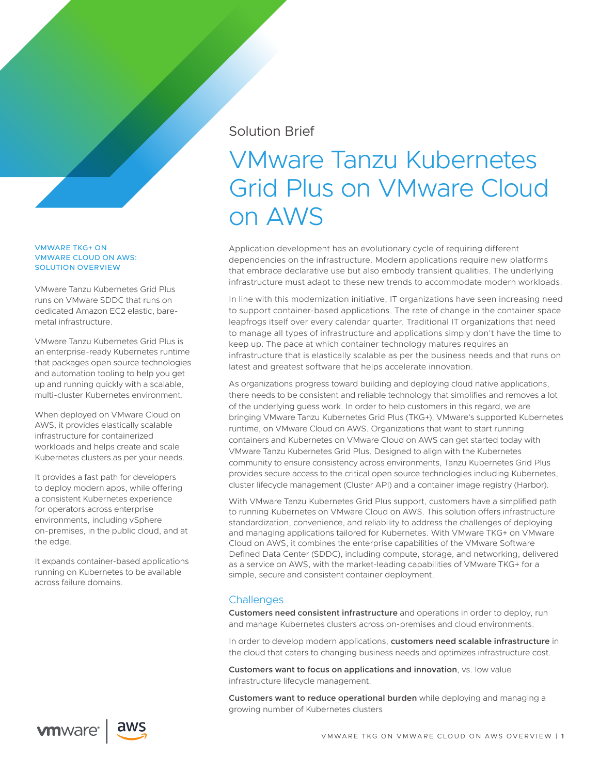## Solution Brief

# VMware Tanzu Kubernetes Grid Plus on VMware Cloud on AWS

Application development has an evolutionary cycle of requiring different dependencies on the infrastructure. Modern applications require new platforms that embrace declarative use but also embody transient qualities. The underlying infrastructure must adapt to these new trends to accommodate modern workloads.

In line with this modernization initiative, IT organizations have seen increasing need to support container-based applications. The rate of change in the container space leapfrogs itself over every calendar quarter. Traditional IT organizations that need to manage all types of infrastructure and applications simply don't have the time to keep up. The pace at which container technology matures requires an infrastructure that is elastically scalable as per the business needs and that runs on latest and greatest software that helps accelerate innovation.

As organizations progress toward building and deploying cloud native applications, there needs to be consistent and reliable technology that simplifies and removes a lot of the underlying guess work. In order to help customers in this regard, we are bringing VMware Tanzu Kubernetes Grid Plus (TKG+), VMware's supported Kubernetes runtime, on VMware Cloud on AWS. Organizations that want to start running containers and Kubernetes on VMware Cloud on AWS can get started today with VMware Tanzu Kubernetes Grid Plus. Designed to align with the Kubernetes community to ensure consistency across environments, Tanzu Kubernetes Grid Plus provides secure access to the critical open source technologies including Kubernetes, cluster lifecycle management (Cluster API) and a container image registry (Harbor).

With VMware Tanzu Kubernetes Grid Plus support, customers have a simplified path to running Kubernetes on VMware Cloud on AWS. This solution offers infrastructure standardization, convenience, and reliability to address the challenges of deploying and managing applications tailored for Kubernetes. With VMware TKG+ on VMware Cloud on AWS, it combines the enterprise capabilities of the VMware Software Defined Data Center (SDDC), including compute, storage, and networking, delivered as a service on AWS, with the market-leading capabilities of VMware TKG+ for a simple, secure and consistent container deployment.

## **Challenges**

**Customers need consistent infrastructure** and operations in order to deploy, run and manage Kubernetes clusters across on-premises and cloud environments.

In order to develop modern applications, **customers need scalable infrastructure** in the cloud that caters to changing business needs and optimizes infrastructure cost.

**Customers want to focus on applications and innovation**, vs. low value infrastructure lifecycle management.

**Customers want to reduce operational burden** while deploying and managing a growing number of Kubernetes clusters

VMWARE TKG+ ON VMWARE CLOUD ON AWS: SOLUTION OVERVIEW

VMware Tanzu Kubernetes Grid Plus runs on VMware SDDC that runs on dedicated Amazon EC2 elastic, baremetal infrastructure.

VMware Tanzu Kubernetes Grid Plus is an enterprise-ready Kubernetes runtime that packages open source technologies and automation tooling to help you get up and running quickly with a scalable, multi-cluster Kubernetes environment.

When deployed on VMware Cloud on AWS, it provides elastically scalable infrastructure for containerized workloads and helps create and scale Kubernetes clusters as per your needs.

It provides a fast path for developers to deploy modern apps, while offering a consistent Kubernetes experience for operators across enterprise environments, including vSphere on-premises, in the public cloud, and at the edge.

It expands container-based applications running on Kubernetes to be available across failure domains.



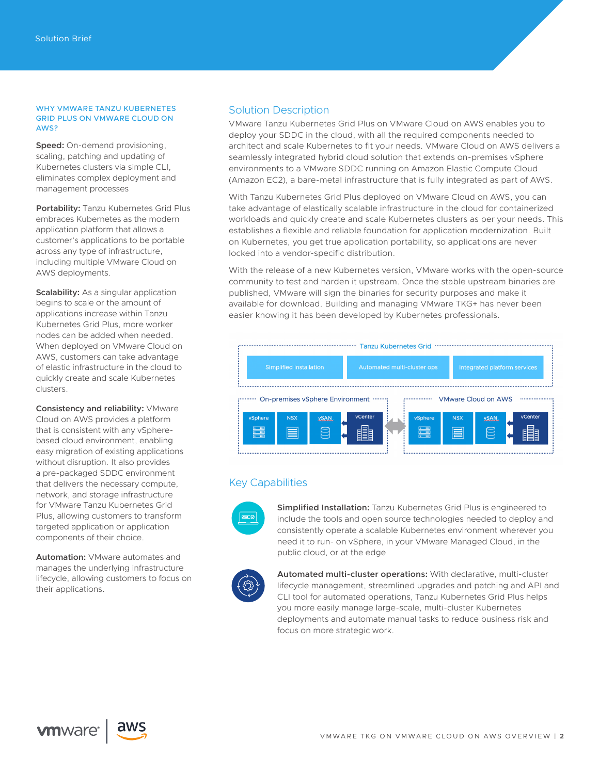#### WHY VMWARE TANZU KUBERNETES GRID PLUS ON VMWARE CLOUD ON AWS?

**Speed:** On-demand provisioning, scaling, patching and updating of Kubernetes clusters via simple CLI, eliminates complex deployment and management processes

**Portability:** Tanzu Kubernetes Grid Plus embraces Kubernetes as the modern application platform that allows a customer's applications to be portable across any type of infrastructure, including multiple VMware Cloud on AWS deployments.

**Scalability:** As a singular application begins to scale or the amount of applications increase within Tanzu Kubernetes Grid Plus, more worker nodes can be added when needed. When deployed on VMware Cloud on AWS, customers can take advantage of elastic infrastructure in the cloud to quickly create and scale Kubernetes clusters.

**Consistency and reliability:** VMware Cloud on AWS provides a platform that is consistent with any vSpherebased cloud environment, enabling easy migration of existing applications without disruption. It also provides a pre-packaged SDDC environment that delivers the necessary compute, network, and storage infrastructure for VMware Tanzu Kubernetes Grid Plus, allowing customers to transform targeted application or application components of their choice.

**Automation:** VMware automates and manages the underlying infrastructure lifecycle, allowing customers to focus on their applications.

### Solution Description

VMware Tanzu Kubernetes Grid Plus on VMware Cloud on AWS enables you to deploy your SDDC in the cloud, with all the required components needed to architect and scale Kubernetes to fit your needs. VMware Cloud on AWS delivers a seamlessly integrated hybrid cloud solution that extends on-premises vSphere environments to a VMware SDDC running on Amazon Elastic Compute Cloud (Amazon EC2), a bare-metal infrastructure that is fully integrated as part of AWS.

With Tanzu Kubernetes Grid Plus deployed on VMware Cloud on AWS, you can take advantage of elastically scalable infrastructure in the cloud for containerized workloads and quickly create and scale Kubernetes clusters as per your needs. This establishes a flexible and reliable foundation for application modernization. Built on Kubernetes, you get true application portability, so applications are never locked into a vendor-specific distribution.

With the release of a new Kubernetes version, VMware works with the open-source community to test and harden it upstream. Once the stable upstream binaries are published, VMware will sign the binaries for security purposes and make it available for download. Building and managing VMware TKG+ has never been easier knowing it has been developed by Kubernetes professionals.



## Key Capabilities



**Simplified Installation:** Tanzu Kubernetes Grid Plus is engineered to include the tools and open source technologies needed to deploy and consistently operate a scalable Kubernetes environment wherever you need it to run- on vSphere, in your VMware Managed Cloud, in the public cloud, or at the edge



**Automated multi-cluster operations:** With declarative, multi-cluster lifecycle management, streamlined upgrades and patching and API and CLI tool for automated operations, Tanzu Kubernetes Grid Plus helps you more easily manage large-scale, multi-cluster Kubernetes deployments and automate manual tasks to reduce business risk and focus on more strategic work.